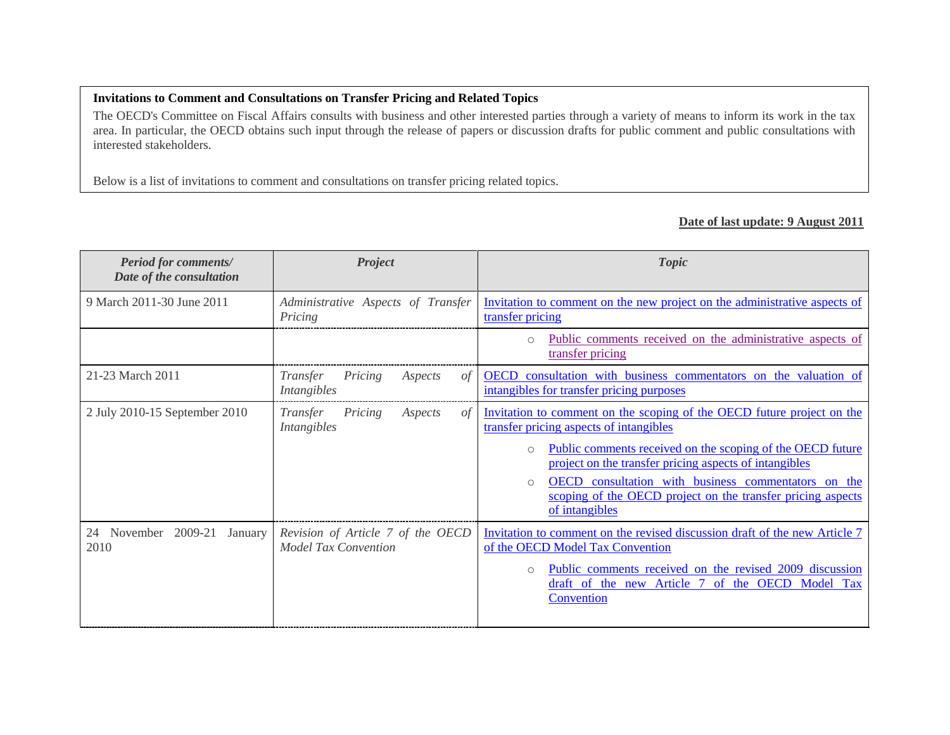## **Invitations to Comment and Consultations on Transfer Pricing and Related Topics**

The OECD's Committee on Fiscal Affairs consults with business and other interested parties through a variety of means to inform its work in the tax area. In particular, the OECD obtains such input through the release of papers or discussion drafts for public comment and public consultations with interested stakeholders.

Below is a list of invitations to comment and consultations on transfer pricing related topics.

## **Date of last update: 9 August 2011**

| <b>Period for comments/</b><br>Date of the consultation | <b>Project</b>                                                   | <b>Topic</b>                                                                                                                                                                                                                                                                                                                                                                                               |
|---------------------------------------------------------|------------------------------------------------------------------|------------------------------------------------------------------------------------------------------------------------------------------------------------------------------------------------------------------------------------------------------------------------------------------------------------------------------------------------------------------------------------------------------------|
| 9 March 2011-30 June 2011                               | Administrative Aspects of Transfer<br>Pricing                    | Invitation to comment on the new project on the administrative aspects of<br>transfer pricing                                                                                                                                                                                                                                                                                                              |
|                                                         |                                                                  | Public comments received on the administrative aspects of<br>$\bigcirc$<br>transfer pricing                                                                                                                                                                                                                                                                                                                |
| 21-23 March 2011                                        | Transfer<br>Pricing<br>Aspects<br>0t<br>Intangibles              | OECD consultation with business commentators on the valuation of<br>intangibles for transfer pricing purposes                                                                                                                                                                                                                                                                                              |
| 2 July 2010-15 September 2010                           | Transfer<br>Pricing<br>Aspects<br>0f<br>Intangibles              | Invitation to comment on the scoping of the OECD future project on the<br>transfer pricing aspects of intangibles<br>Public comments received on the scoping of the OECD future<br>$\bigcirc$<br>project on the transfer pricing aspects of intangibles<br>OECD consultation with business commentators on the<br>$\circ$<br>scoping of the OECD project on the transfer pricing aspects<br>of intangibles |
| 24 November<br>2009-21<br>January<br>2010               | Revision of Article 7 of the OECD<br><b>Model Tax Convention</b> | Invitation to comment on the revised discussion draft of the new Article 7<br>of the OECD Model Tax Convention<br>Public comments received on the revised 2009 discussion<br>$\circ$<br>draft of the new Article 7 of the OECD Model<br><b>Tax</b><br>Convention                                                                                                                                           |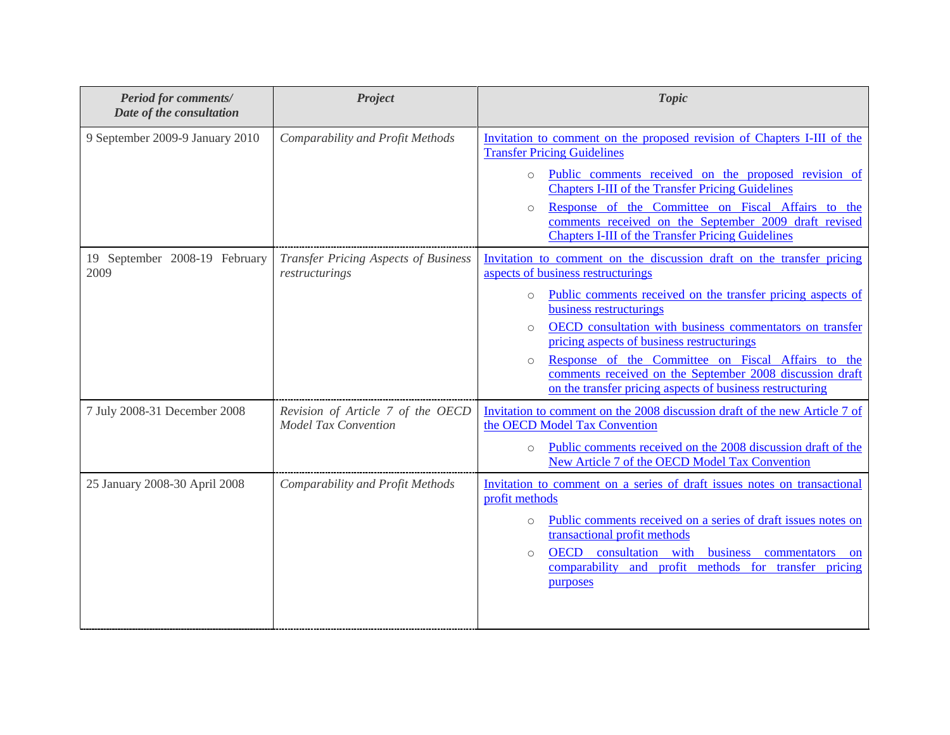| <b>Period for comments/</b><br>Date of the consultation | Project                                                          | <b>Topic</b>                                                                                                                                                                                                                                                                                                                                                                                                                                                                                                                                |
|---------------------------------------------------------|------------------------------------------------------------------|---------------------------------------------------------------------------------------------------------------------------------------------------------------------------------------------------------------------------------------------------------------------------------------------------------------------------------------------------------------------------------------------------------------------------------------------------------------------------------------------------------------------------------------------|
| 9 September 2009-9 January 2010                         | Comparability and Profit Methods                                 | Invitation to comment on the proposed revision of Chapters I-III of the<br><b>Transfer Pricing Guidelines</b><br>Public comments received on the proposed revision of<br>$\circ$<br><b>Chapters I-III of the Transfer Pricing Guidelines</b><br>Response of the Committee on Fiscal Affairs to the<br>$\circ$<br>comments received on the September 2009 draft revised<br><b>Chapters I-III of the Transfer Pricing Guidelines</b>                                                                                                          |
| 19 September 2008-19 February<br>2009                   | <b>Transfer Pricing Aspects of Business</b><br>restructurings    | Invitation to comment on the discussion draft on the transfer pricing<br>aspects of business restructurings<br>Public comments received on the transfer pricing aspects of<br>$\circ$<br>business restructurings<br>OECD consultation with business commentators on transfer<br>$\circlearrowright$<br>pricing aspects of business restructurings<br>Response of the Committee on Fiscal Affairs to the<br>$\circ$<br>comments received on the September 2008 discussion draft<br>on the transfer pricing aspects of business restructuring |
| 7 July 2008-31 December 2008                            | Revision of Article 7 of the OECD<br><b>Model Tax Convention</b> | Invitation to comment on the 2008 discussion draft of the new Article 7 of<br>the OECD Model Tax Convention<br>Public comments received on the 2008 discussion draft of the<br>$\circ$<br>New Article 7 of the OECD Model Tax Convention                                                                                                                                                                                                                                                                                                    |
| 25 January 2008-30 April 2008                           | Comparability and Profit Methods                                 | Invitation to comment on a series of draft issues notes on transactional<br>profit methods<br>Public comments received on a series of draft issues notes on<br>$\circ$<br>transactional profit methods<br>consultation with business commentators<br><b>OECD</b><br>$\circ$<br><b>on</b><br>comparability and profit methods for transfer pricing<br>purposes                                                                                                                                                                               |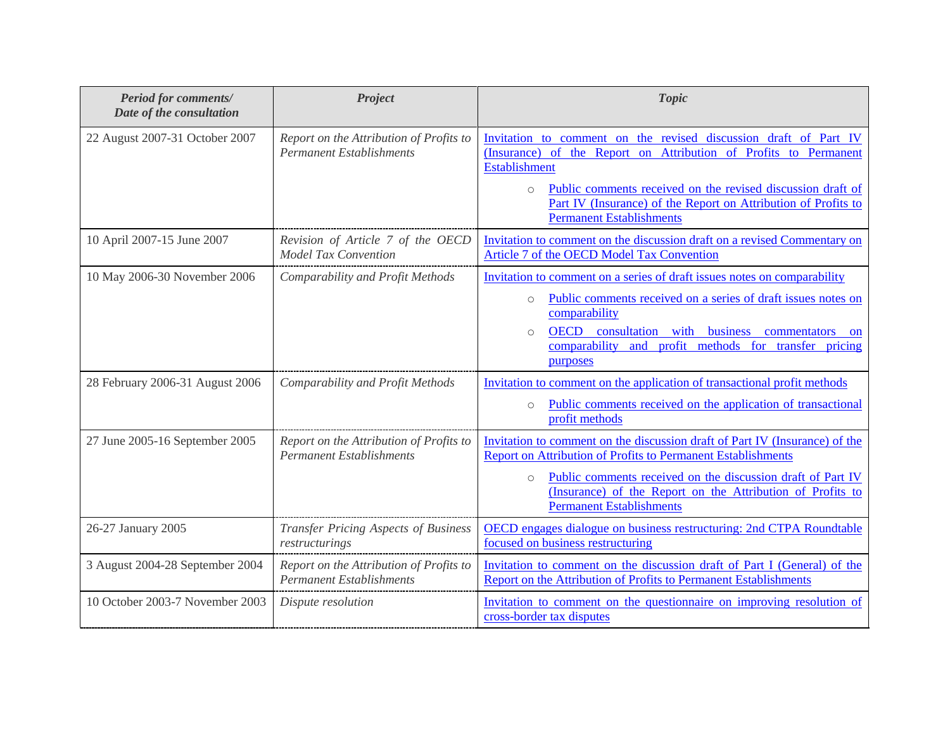| <b>Period for comments/</b><br>Date of the consultation | Project                                                                    | <b>Topic</b>                                                                                                                                                                                                                                                                                                                  |
|---------------------------------------------------------|----------------------------------------------------------------------------|-------------------------------------------------------------------------------------------------------------------------------------------------------------------------------------------------------------------------------------------------------------------------------------------------------------------------------|
| 22 August 2007-31 October 2007                          | Report on the Attribution of Profits to<br><b>Permanent Establishments</b> | Invitation to comment on the revised discussion draft of Part IV<br>(Insurance) of the Report on Attribution of Profits to Permanent<br><b>Establishment</b>                                                                                                                                                                  |
|                                                         |                                                                            | Public comments received on the revised discussion draft of<br>$\circ$<br>Part IV (Insurance) of the Report on Attribution of Profits to<br><b>Permanent Establishments</b>                                                                                                                                                   |
| 10 April 2007-15 June 2007                              | Revision of Article 7 of the OECD<br><b>Model Tax Convention</b>           | Invitation to comment on the discussion draft on a revised Commentary on<br>Article 7 of the OECD Model Tax Convention                                                                                                                                                                                                        |
| 10 May 2006-30 November 2006                            | Comparability and Profit Methods                                           | Invitation to comment on a series of draft issues notes on comparability<br>Public comments received on a series of draft issues notes on<br>$\circ$<br>comparability<br>OECD consultation with business<br>commentators<br>$\circ$<br>on<br>comparability and profit methods for transfer pricing<br>purposes                |
| 28 February 2006-31 August 2006                         | Comparability and Profit Methods                                           | Invitation to comment on the application of transactional profit methods<br>Public comments received on the application of transactional<br>$\circ$<br>profit methods                                                                                                                                                         |
| 27 June 2005-16 September 2005                          | Report on the Attribution of Profits to<br><b>Permanent Establishments</b> | Invitation to comment on the discussion draft of Part IV (Insurance) of the<br><b>Report on Attribution of Profits to Permanent Establishments</b><br>Public comments received on the discussion draft of Part IV<br>$\circ$<br>(Insurance) of the Report on the Attribution of Profits to<br><b>Permanent Establishments</b> |
| 26-27 January 2005                                      | Transfer Pricing Aspects of Business<br>restructurings                     | OECD engages dialogue on business restructuring: 2nd CTPA Roundtable<br>focused on business restructuring                                                                                                                                                                                                                     |
| 3 August 2004-28 September 2004                         | Report on the Attribution of Profits to<br><b>Permanent Establishments</b> | Invitation to comment on the discussion draft of Part I (General) of the<br><b>Report on the Attribution of Profits to Permanent Establishments</b>                                                                                                                                                                           |
| 10 October 2003-7 November 2003                         | Dispute resolution                                                         | Invitation to comment on the questionnaire on improving resolution of<br>cross-border tax disputes                                                                                                                                                                                                                            |